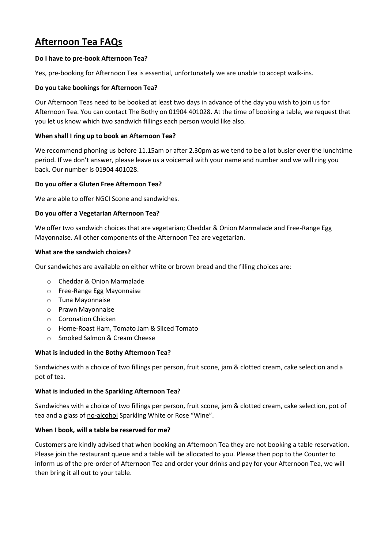# **Afternoon Tea FAQs**

# **Do I have to pre-book Afternoon Tea?**

Yes, pre-booking for Afternoon Tea is essential, unfortunately we are unable to accept walk-ins.

## **Do you take bookings for Afternoon Tea?**

Our Afternoon Teas need to be booked at least two days in advance of the day you wish to join us for Afternoon Tea. You can contact The Bothy on 01904 401028. At the time of booking a table, we request that you let us know which two sandwich fillings each person would like also.

## **When shall I ring up to book an Afternoon Tea?**

We recommend phoning us before 11.15am or after 2.30pm as we tend to be a lot busier over the lunchtime period. If we don't answer, please leave us a voicemail with your name and number and we will ring you back. Our number is 01904 401028.

## **Do you offer a Gluten Free Afternoon Tea?**

We are able to offer NGCI Scone and sandwiches.

## **Do you offer a Vegetarian Afternoon Tea?**

We offer two sandwich choices that are vegetarian; Cheddar & Onion Marmalade and Free-Range Egg Mayonnaise. All other components of the Afternoon Tea are vegetarian.

#### **What are the sandwich choices?**

Our sandwiches are available on either white or brown bread and the filling choices are:

- o Cheddar & Onion Marmalade
- o Free-Range Egg Mayonnaise
- o Tuna Mayonnaise
- o Prawn Mayonnaise
- o Coronation Chicken
- o Home-Roast Ham, Tomato Jam & Sliced Tomato
- o Smoked Salmon & Cream Cheese

#### **What is included in the Bothy Afternoon Tea?**

Sandwiches with a choice of two fillings per person, fruit scone, jam & clotted cream, cake selection and a pot of tea.

#### **What is included in the Sparkling Afternoon Tea?**

Sandwiches with a choice of two fillings per person, fruit scone, jam & clotted cream, cake selection, pot of tea and a glass of no-alcohol Sparkling White or Rose "Wine".

# **When I book, will a table be reserved for me?**

Customers are kindly advised that when booking an Afternoon Tea they are not booking a table reservation. Please join the restaurant queue and a table will be allocated to you. Please then pop to the Counter to inform us of the pre-order of Afternoon Tea and order your drinks and pay for your Afternoon Tea, we will then bring it all out to your table.